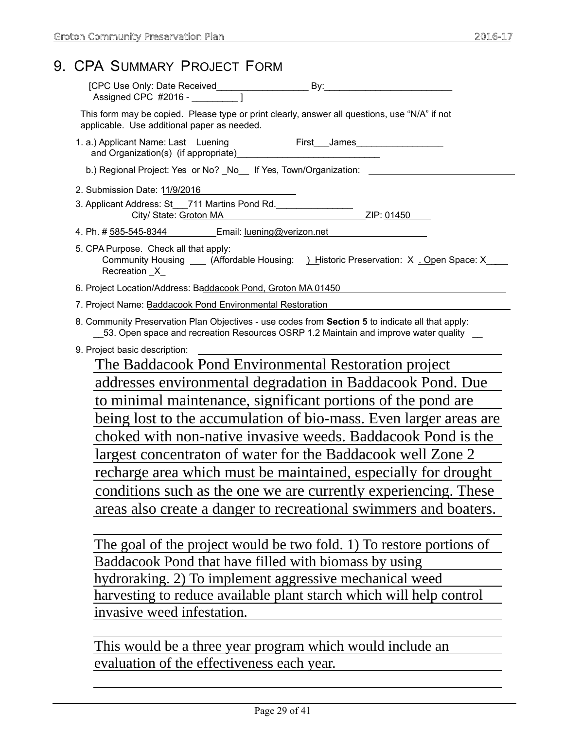|                                                                                       | 9. CPA SUMMARY PROJECT FORM                                                                                                                                                                  |  |  |
|---------------------------------------------------------------------------------------|----------------------------------------------------------------------------------------------------------------------------------------------------------------------------------------------|--|--|
|                                                                                       |                                                                                                                                                                                              |  |  |
|                                                                                       | This form may be copied. Please type or print clearly, answer all questions, use "N/A" if not<br>applicable. Use additional paper as needed.                                                 |  |  |
|                                                                                       |                                                                                                                                                                                              |  |  |
|                                                                                       | b.) Regional Project: Yes or No? _No__ If Yes, Town/Organization: ______________                                                                                                             |  |  |
|                                                                                       | 2. Submission Date: 11/9/2016                                                                                                                                                                |  |  |
|                                                                                       | 3. Applicant Address: St__711 Martins Pond Rd._________________<br>ZIP: 01450<br>City/ State: Groton MA                                                                                      |  |  |
| 4. Ph. # 585-545-8344 Email: <u>Iuening@verizon.net</u>                               |                                                                                                                                                                                              |  |  |
|                                                                                       | 5. CPA Purpose. Check all that apply:<br>Community Housing ____ (Affordable Housing: ) Historic Preservation: X . Open Space: X<br>Recreation _X_                                            |  |  |
|                                                                                       | 6. Project Location/Address: Baddacook Pond, Groton MA 01450                                                                                                                                 |  |  |
| 7. Project Name: Baddacook Pond Environmental Restoration                             |                                                                                                                                                                                              |  |  |
|                                                                                       | 8. Community Preservation Plan Objectives - use codes from Section 5 to indicate all that apply:<br>__53. Open space and recreation Resources OSRP 1.2 Maintain and improve water quality __ |  |  |
| 9. Project basic description:<br>The Baddacook Pond Environmental Restoration project |                                                                                                                                                                                              |  |  |
|                                                                                       |                                                                                                                                                                                              |  |  |
|                                                                                       | to minimal maintenance, significant portions of the pond are                                                                                                                                 |  |  |
|                                                                                       | being lost to the accumulation of bio-mass. Even larger areas are                                                                                                                            |  |  |
|                                                                                       | choked with non-native invasive weeds. Baddacook Pond is the                                                                                                                                 |  |  |
| largest concentraton of water for the Baddacook well Zone 2                           |                                                                                                                                                                                              |  |  |
| recharge area which must be maintained, especially for drought                        |                                                                                                                                                                                              |  |  |
|                                                                                       | conditions such as the one we are currently experiencing. These                                                                                                                              |  |  |
|                                                                                       | areas also create a danger to recreational swimmers and boaters.                                                                                                                             |  |  |
|                                                                                       | The goal of the project would be two fold. 1) To restore portions of                                                                                                                         |  |  |
|                                                                                       | Baddacook Pond that have filled with biomass by using                                                                                                                                        |  |  |
| hydroraking. 2) To implement aggressive mechanical weed                               |                                                                                                                                                                                              |  |  |
|                                                                                       | harvesting to reduce available plant starch which will help control                                                                                                                          |  |  |
|                                                                                       |                                                                                                                                                                                              |  |  |

invasive weed infestation.

This would be a three year program which would include an evaluation of the effectiveness each year.